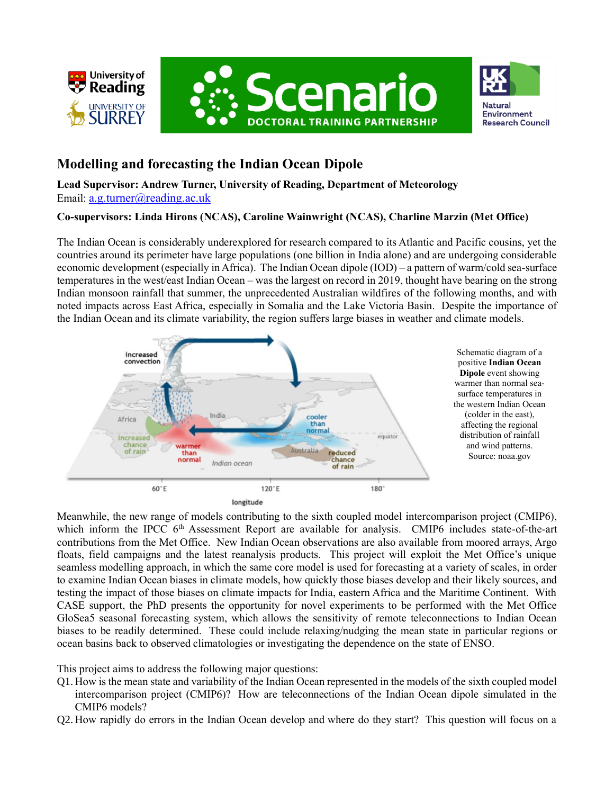





# **Modelling and forecasting the Indian Ocean Dipole**

**Lead Supervisor: Andrew Turner, University of Reading, Department of Meteorology** Email: [a.g.turner@reading.ac.uk](mailto:a.g.turner@reading.ac.uk)

# **Co-supervisors: Linda Hirons (NCAS), Caroline Wainwright (NCAS), Charline Marzin (Met Office)**

The Indian Ocean is considerably underexplored for research compared to its Atlantic and Pacific cousins, yet the countries around its perimeter have large populations (one billion in India alone) and are undergoing considerable economic development (especially in Africa). The Indian Ocean dipole (IOD) – a pattern of warm/cold sea-surface temperatures in the west/east Indian Ocean – was the largest on record in 2019, thought have bearing on the strong Indian monsoon rainfall that summer, the unprecedented Australian wildfires of the following months, and with noted impacts across East Africa, especially in Somalia and the Lake Victoria Basin. Despite the importance of the Indian Ocean and its climate variability, the region suffers large biases in weather and climate models.



Schematic diagram of a positive **Indian Ocean Dipole** event showing warmer than normal seasurface temperatures in the western Indian Ocean (colder in the east), affecting the regional distribution of rainfall and wind patterns. Source: noaa.gov

Meanwhile, the new range of models contributing to the sixth coupled model intercomparison project (CMIP6), which inform the IPCC 6<sup>th</sup> Assessment Report are available for analysis. CMIP6 includes state-of-the-art contributions from the Met Office. New Indian Ocean observations are also available from moored arrays, Argo floats, field campaigns and the latest reanalysis products. This project will exploit the Met Office's unique seamless modelling approach, in which the same core model is used for forecasting at a variety of scales, in order to examine Indian Ocean biases in climate models, how quickly those biases develop and their likely sources, and testing the impact of those biases on climate impacts for India, eastern Africa and the Maritime Continent. With CASE support, the PhD presents the opportunity for novel experiments to be performed with the Met Office GloSea5 seasonal forecasting system, which allows the sensitivity of remote teleconnections to Indian Ocean biases to be readily determined. These could include relaxing/nudging the mean state in particular regions or ocean basins back to observed climatologies or investigating the dependence on the state of ENSO.

This project aims to address the following major questions:

- Q1. How is the mean state and variability of the Indian Ocean represented in the models of the sixth coupled model intercomparison project (CMIP6)? How are teleconnections of the Indian Ocean dipole simulated in the CMIP6 models?
- Q2. How rapidly do errors in the Indian Ocean develop and where do they start? This question will focus on a